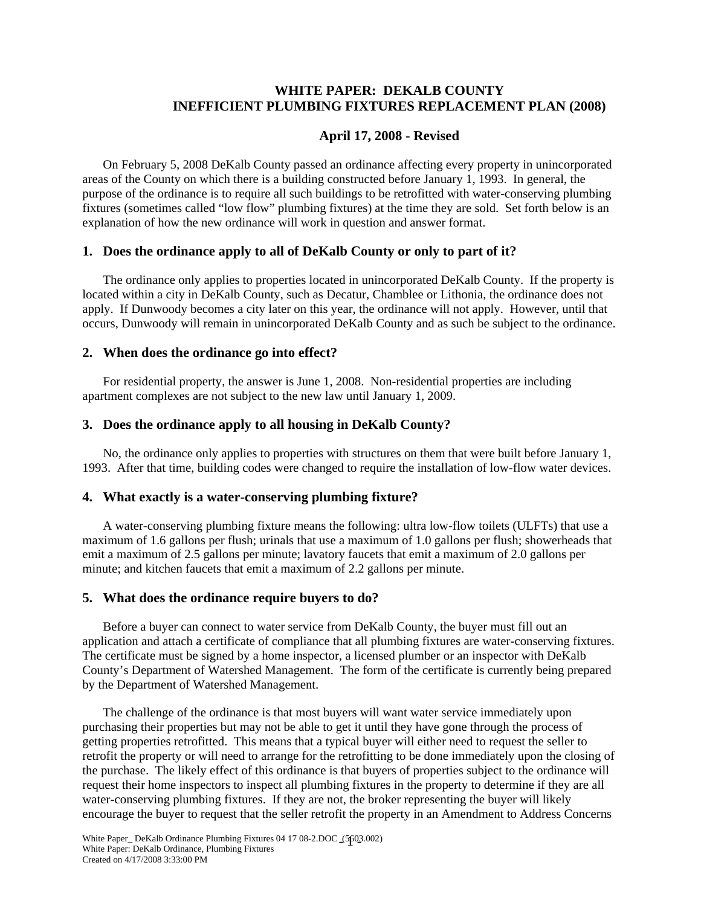# **WHITE PAPER: DEKALB COUNTY INEFFICIENT PLUMBING FIXTURES REPLACEMENT PLAN (2008)**

# **April 17, 2008 - Revised**

On February 5, 2008 DeKalb County passed an ordinance affecting every property in unincorporated areas of the County on which there is a building constructed before January 1, 1993. In general, the purpose of the ordinance is to require all such buildings to be retrofitted with water-conserving plumbing fixtures (sometimes called "low flow" plumbing fixtures) at the time they are sold. Set forth below is an explanation of how the new ordinance will work in question and answer format.

## **1. Does the ordinance apply to all of DeKalb County or only to part of it?**

The ordinance only applies to properties located in unincorporated DeKalb County. If the property is located within a city in DeKalb County, such as Decatur, Chamblee or Lithonia, the ordinance does not apply. If Dunwoody becomes a city later on this year, the ordinance will not apply. However, until that occurs, Dunwoody will remain in unincorporated DeKalb County and as such be subject to the ordinance.

### **2. When does the ordinance go into effect?**

For residential property, the answer is June 1, 2008. Non-residential properties are including apartment complexes are not subject to the new law until January 1, 2009.

## **3. Does the ordinance apply to all housing in DeKalb County?**

No, the ordinance only applies to properties with structures on them that were built before January 1, 1993. After that time, building codes were changed to require the installation of low-flow water devices.

### **4. What exactly is a water-conserving plumbing fixture?**

A water-conserving plumbing fixture means the following: ultra low-flow toilets (ULFTs) that use a maximum of 1.6 gallons per flush; urinals that use a maximum of 1.0 gallons per flush; showerheads that emit a maximum of 2.5 gallons per minute; lavatory faucets that emit a maximum of 2.0 gallons per minute; and kitchen faucets that emit a maximum of 2.2 gallons per minute.

### **5. What does the ordinance require buyers to do?**

Before a buyer can connect to water service from DeKalb County, the buyer must fill out an application and attach a certificate of compliance that all plumbing fixtures are water-conserving fixtures. The certificate must be signed by a home inspector, a licensed plumber or an inspector with DeKalb County's Department of Watershed Management. The form of the certificate is currently being prepared by the Department of Watershed Management.

The challenge of the ordinance is that most buyers will want water service immediately upon purchasing their properties but may not be able to get it until they have gone through the process of getting properties retrofitted. This means that a typical buyer will either need to request the seller to retrofit the property or will need to arrange for the retrofitting to be done immediately upon the closing of the purchase. The likely effect of this ordinance is that buyers of properties subject to the ordinance will request their home inspectors to inspect all plumbing fixtures in the property to determine if they are all water-conserving plumbing fixtures. If they are not, the broker representing the buyer will likely encourage the buyer to request that the seller retrofit the property in an Amendment to Address Concerns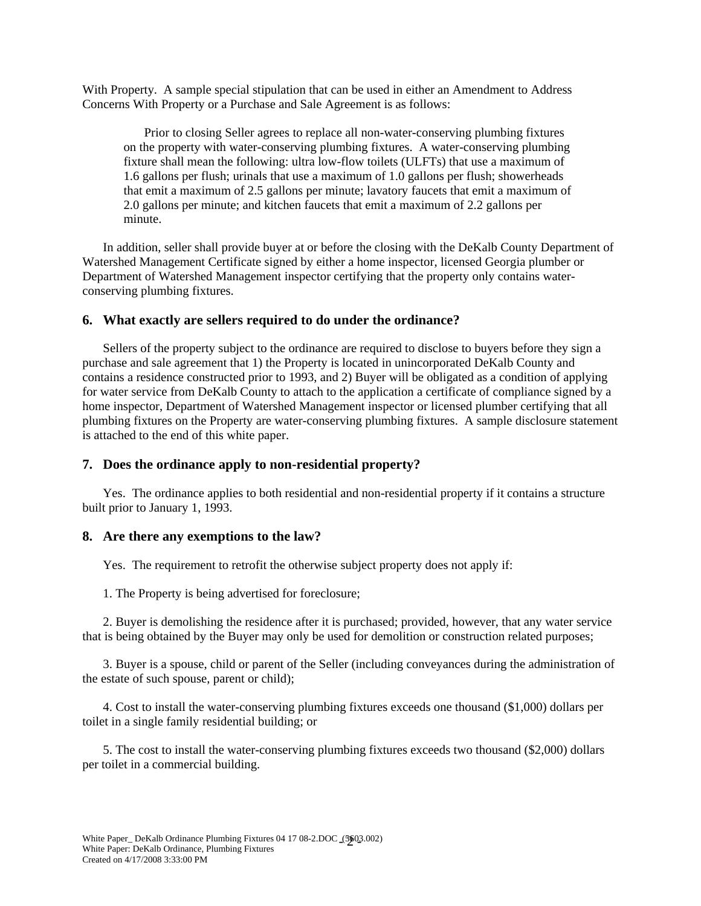With Property. A sample special stipulation that can be used in either an Amendment to Address Concerns With Property or a Purchase and Sale Agreement is as follows:

Prior to closing Seller agrees to replace all non-water-conserving plumbing fixtures on the property with water-conserving plumbing fixtures. A water-conserving plumbing fixture shall mean the following: ultra low-flow toilets (ULFTs) that use a maximum of 1.6 gallons per flush; urinals that use a maximum of 1.0 gallons per flush; showerheads that emit a maximum of 2.5 gallons per minute; lavatory faucets that emit a maximum of 2.0 gallons per minute; and kitchen faucets that emit a maximum of 2.2 gallons per minute.

In addition, seller shall provide buyer at or before the closing with the DeKalb County Department of Watershed Management Certificate signed by either a home inspector, licensed Georgia plumber or Department of Watershed Management inspector certifying that the property only contains waterconserving plumbing fixtures.

#### **6. What exactly are sellers required to do under the ordinance?**

Sellers of the property subject to the ordinance are required to disclose to buyers before they sign a purchase and sale agreement that 1) the Property is located in unincorporated DeKalb County and contains a residence constructed prior to 1993, and 2) Buyer will be obligated as a condition of applying for water service from DeKalb County to attach to the application a certificate of compliance signed by a home inspector, Department of Watershed Management inspector or licensed plumber certifying that all plumbing fixtures on the Property are water-conserving plumbing fixtures. A sample disclosure statement is attached to the end of this white paper.

#### **7. Does the ordinance apply to non-residential property?**

Yes. The ordinance applies to both residential and non-residential property if it contains a structure built prior to January 1, 1993.

#### **8. Are there any exemptions to the law?**

Yes. The requirement to retrofit the otherwise subject property does not apply if:

1. The Property is being advertised for foreclosure;

2. Buyer is demolishing the residence after it is purchased; provided, however, that any water service that is being obtained by the Buyer may only be used for demolition or construction related purposes;

3. Buyer is a spouse, child or parent of the Seller (including conveyances during the administration of the estate of such spouse, parent or child);

4. Cost to install the water-conserving plumbing fixtures exceeds one thousand (\$1,000) dollars per toilet in a single family residential building; or

5. The cost to install the water-conserving plumbing fixtures exceeds two thousand (\$2,000) dollars per toilet in a commercial building.